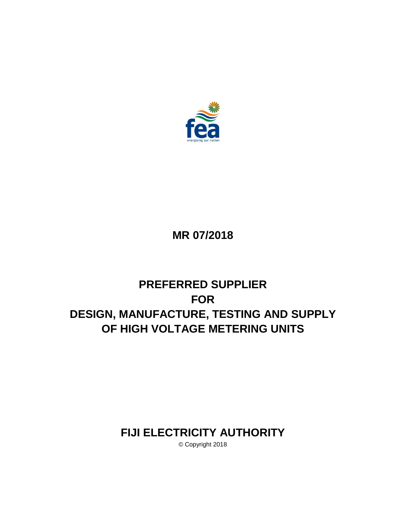

# **MR 07/2018**

# **PREFERRED SUPPLIER FOR DESIGN, MANUFACTURE, TESTING AND SUPPLY OF HIGH VOLTAGE METERING UNITS**

# **FIJI ELECTRICITY AUTHORITY**

© Copyright 2018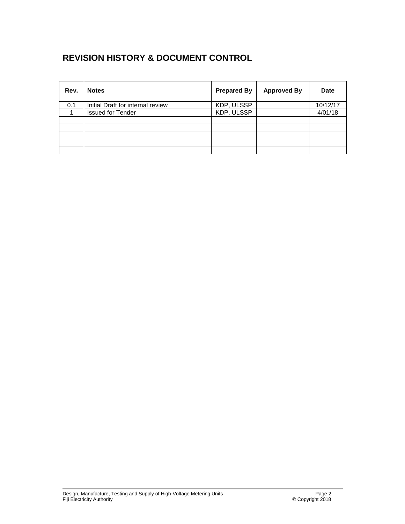## **REVISION HISTORY & DOCUMENT CONTROL**

| Rev. | <b>Notes</b>                      | <b>Prepared By</b> | <b>Approved By</b> | <b>Date</b> |
|------|-----------------------------------|--------------------|--------------------|-------------|
| 0.1  | Initial Draft for internal review | KDP, ULSSP         |                    | 10/12/17    |
|      | <b>Issued for Tender</b>          | KDP, ULSSP         |                    | 4/01/18     |
|      |                                   |                    |                    |             |
|      |                                   |                    |                    |             |
|      |                                   |                    |                    |             |
|      |                                   |                    |                    |             |
|      |                                   |                    |                    |             |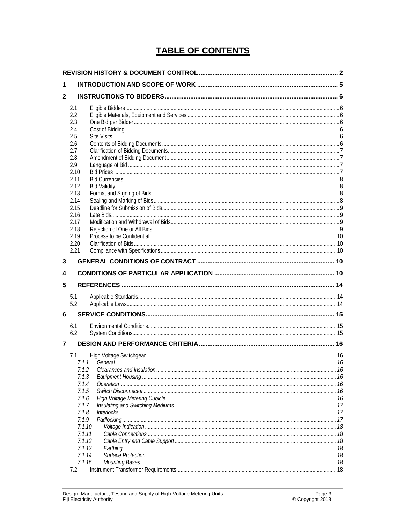## **TABLE OF CONTENTS**

| 1            |                |  |  |
|--------------|----------------|--|--|
| $\mathbf{2}$ |                |  |  |
|              | 2.1            |  |  |
|              | 2.2            |  |  |
|              | 2.3            |  |  |
|              | 2.4            |  |  |
|              | 2.5            |  |  |
|              | 2.6<br>2.7     |  |  |
|              | 2.8            |  |  |
|              | 2.9            |  |  |
|              | 2.10           |  |  |
|              | 2.11           |  |  |
|              | 2.12           |  |  |
|              | 2.13           |  |  |
|              | 2.14           |  |  |
|              | 2.15           |  |  |
|              | 2.16           |  |  |
|              | 2.17<br>2.18   |  |  |
|              | 2.19           |  |  |
|              | 2.20           |  |  |
|              | 2.21           |  |  |
| 3            |                |  |  |
|              |                |  |  |
| 4            |                |  |  |
| 5            |                |  |  |
|              | 5.1<br>5.2     |  |  |
| 6            |                |  |  |
|              |                |  |  |
|              | 6.1            |  |  |
|              | 6.2            |  |  |
| 7            |                |  |  |
|              | 7.1            |  |  |
|              | 7.1.1          |  |  |
|              | 7.1.2          |  |  |
|              | 7.1.3          |  |  |
|              | 7.1.4          |  |  |
|              | 7.1.5          |  |  |
|              | 7.1.6          |  |  |
|              | 7.1.7<br>7.1.8 |  |  |
|              | 7.1.9          |  |  |
|              | 7.1.10         |  |  |
|              | 7.1.11         |  |  |
|              |                |  |  |
|              | 7.1.12         |  |  |
|              | 7.1.13         |  |  |
|              | 7.1.14         |  |  |
|              | 7.1.15<br>7.2  |  |  |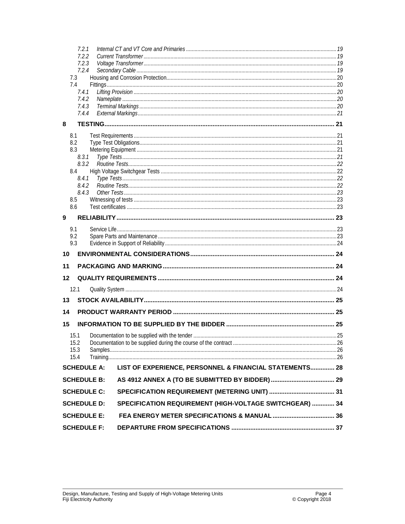|              | 7.2.1                                                                         |  |
|--------------|-------------------------------------------------------------------------------|--|
|              | 7.2.2                                                                         |  |
|              | 7.2.3<br>7.2.4                                                                |  |
| 7.3          |                                                                               |  |
| 7.4          |                                                                               |  |
|              | 7.4.1                                                                         |  |
|              | 7.4.2                                                                         |  |
|              | 7.4.3<br>7.4.4                                                                |  |
| 8            |                                                                               |  |
| 8.1          |                                                                               |  |
| 8.2          |                                                                               |  |
| 8.3          |                                                                               |  |
|              | 8.3.1                                                                         |  |
|              | 8.3.2                                                                         |  |
| 8.4          |                                                                               |  |
|              | 8.4.1<br>8.4.2                                                                |  |
|              | 8.4.3                                                                         |  |
| 8.5          |                                                                               |  |
| 8.6          |                                                                               |  |
| 9            |                                                                               |  |
| 9.1          |                                                                               |  |
| 9.2          |                                                                               |  |
| 9.3          |                                                                               |  |
| 10           |                                                                               |  |
| 11           |                                                                               |  |
| 12           |                                                                               |  |
| 12.1         |                                                                               |  |
| 13           |                                                                               |  |
| 14           |                                                                               |  |
| 15           |                                                                               |  |
|              |                                                                               |  |
| 15.1<br>15.2 |                                                                               |  |
| 15.3         |                                                                               |  |
| 15.4         |                                                                               |  |
|              | LIST OF EXPERIENCE, PERSONNEL & FINANCIAL STATEMENTS 28<br><b>SCHEDULE A:</b> |  |
|              | <b>SCHEDULE B:</b>                                                            |  |
|              | <b>SCHEDULE C:</b>                                                            |  |
|              | SPECIFICATION REQUIREMENT (HIGH-VOLTAGE SWITCHGEAR)  34<br><b>SCHEDULE D:</b> |  |
|              |                                                                               |  |
|              | <b>SCHEDULE E:</b>                                                            |  |
|              | <b>SCHEDULE F:</b>                                                            |  |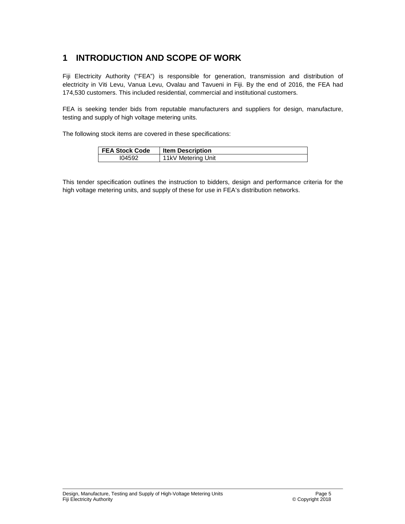## **1 INTRODUCTION AND SCOPE OF WORK**

Fiji Electricity Authority ("FEA") is responsible for generation, transmission and distribution of electricity in Viti Levu, Vanua Levu, Ovalau and Tavueni in Fiji. By the end of 2016, the FEA had 174,530 customers. This included residential, commercial and institutional customers.

FEA is seeking tender bids from reputable manufacturers and suppliers for design, manufacture, testing and supply of high voltage metering units.

The following stock items are covered in these specifications:

| <b>FEA Stock Code</b> | <b>Item Description</b> |
|-----------------------|-------------------------|
| 104592                | 11kV Metering Unit      |

This tender specification outlines the instruction to bidders, design and performance criteria for the high voltage metering units, and supply of these for use in FEA's distribution networks.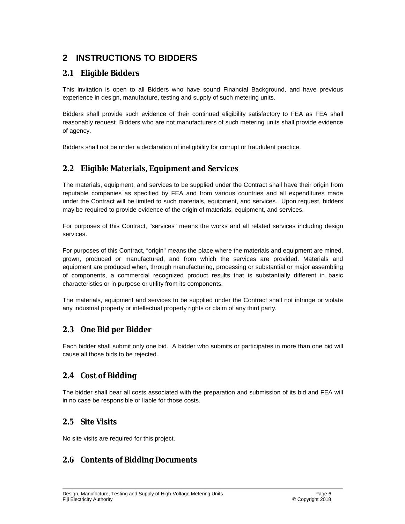## **2 INSTRUCTIONS TO BIDDERS**

### **2.1 Eligible Bidders**

This invitation is open to all Bidders who have sound Financial Background, and have previous experience in design, manufacture, testing and supply of such metering units.

Bidders shall provide such evidence of their continued eligibility satisfactory to FEA as FEA shall reasonably request. Bidders who are not manufacturers of such metering units shall provide evidence of agency.

Bidders shall not be under a declaration of ineligibility for corrupt or fraudulent practice.

### **2.2 Eligible Materials, Equipment and Services**

The materials, equipment, and services to be supplied under the Contract shall have their origin from reputable companies as specified by FEA and from various countries and all expenditures made under the Contract will be limited to such materials, equipment, and services. Upon request, bidders may be required to provide evidence of the origin of materials, equipment, and services.

For purposes of this Contract, "services" means the works and all related services including design services.

For purposes of this Contract, "origin" means the place where the materials and equipment are mined, grown, produced or manufactured, and from which the services are provided. Materials and equipment are produced when, through manufacturing, processing or substantial or major assembling of components, a commercial recognized product results that is substantially different in basic characteristics or in purpose or utility from its components.

The materials, equipment and services to be supplied under the Contract shall not infringe or violate any industrial property or intellectual property rights or claim of any third party.

### **2.3 One Bid per Bidder**

Each bidder shall submit only one bid. A bidder who submits or participates in more than one bid will cause all those bids to be rejected.

### **2.4 Cost of Bidding**

The bidder shall bear all costs associated with the preparation and submission of its bid and FEA will in no case be responsible or liable for those costs.

### **2.5 Site Visits**

No site visits are required for this project.

## **2.6 Contents of Bidding Documents**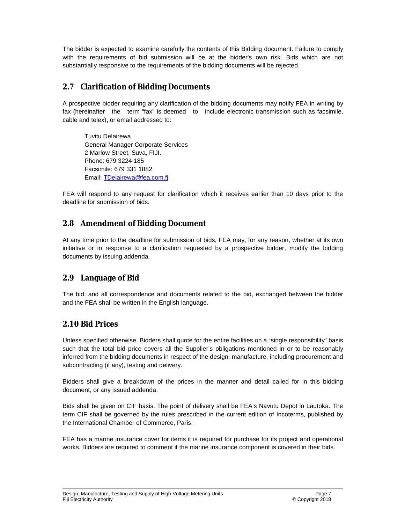The bidder is expected to examine carefully the contents of this Bidding document. Failure to comply with the requirements of bid submission will be at the bidder's own risk. Bids which are not substantially responsive to the requirements of the bidding documents will be rejected.

## **2.7 Clarification of Bidding Documents**

A prospective bidder requiring any clarification of the bidding documents may notify FEA in writing by fax (hereinafter the term "fax" is deemed to include electronic transmission such as facsimile, cable and telex), or email addressed to:

Tuvitu Delairewa General Manager Corporate Services 2 Marlow Street, Suva, FIJI. Phone: 679 3224 185 Facsimile: 679 331 1882 Email: [TDelairewa@fea.com.fj](mailto:TDelairewa@fea.com.fj)

FEA will respond to any request for clarification which it receives earlier than 10 days prior to the deadline for submission of bids.

## **2.8 Amendment of Bidding Document**

At any time prior to the deadline for submission of bids, FEA may, for any reason, whether at its own initiative or in response to a clarification requested by a prospective bidder, modify the bidding documents by issuing addenda.

## **2.9 Language of Bid**

The bid, and all correspondence and documents related to the bid, exchanged between the bidder and the FEA shall be written in the English language.

## **2.10 Bid Prices**

Unless specified otherwise, Bidders shall quote for the entire facilities on a "single responsibility" basis such that the total bid price covers all the Supplier's obligations mentioned in or to be reasonably inferred from the bidding documents in respect of the design, manufacture, including procurement and subcontracting (if any), testing and delivery.

Bidders shall give a breakdown of the prices in the manner and detail called for in this bidding document, or any issued addenda.

Bids shall be given on CIF basis. The point of delivery shall be FEA's Navutu Depot in Lautoka. The term CIF shall be governed by the rules prescribed in the current edition of Incoterms, published by the International Chamber of Commerce, Paris.

FEA has a marine insurance cover for items it is required for purchase for its project and operational works. Bidders are required to comment if the marine insurance component is covered in their bids.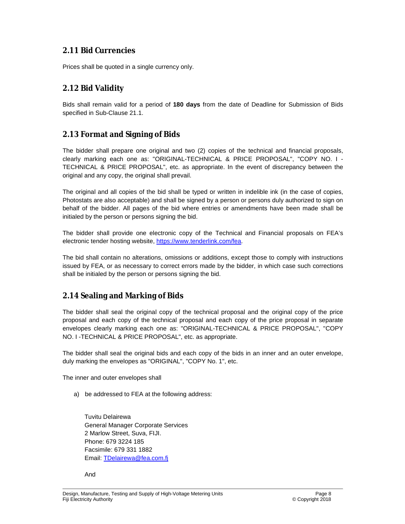## **2.11 Bid Currencies**

Prices shall be quoted in a single currency only.

## **2.12 Bid Validity**

Bids shall remain valid for a period of **180 days** from the date of Deadline for Submission of Bids specified in Sub-Clause 21.1.

## **2.13 Format and Signing of Bids**

The bidder shall prepare one original and two (2) copies of the technical and financial proposals, clearly marking each one as: "ORIGINAL-TECHNICAL & PRICE PROPOSAL", "COPY NO. I - TECHNICAL & PRICE PROPOSAL", etc. as appropriate. In the event of discrepancy between the original and any copy, the original shall prevail.

The original and all copies of the bid shall be typed or written in indelible ink (in the case of copies, Photostats are also acceptable) and shall be signed by a person or persons duly authorized to sign on behalf of the bidder. All pages of the bid where entries or amendments have been made shall be initialed by the person or persons signing the bid.

The bidder shall provide one electronic copy of the Technical and Financial proposals on FEA's electronic tender hosting website, [https://www.tenderlink.com/fea.](https://www.tenderlink.com/fea)

The bid shall contain no alterations, omissions or additions, except those to comply with instructions issued by FEA, or as necessary to correct errors made by the bidder, in which case such corrections shall be initialed by the person or persons signing the bid.

## **2.14 Sealing and Marking of Bids**

The bidder shall seal the original copy of the technical proposal and the original copy of the price proposal and each copy of the technical proposal and each copy of the price proposal in separate envelopes clearly marking each one as: "ORIGINAL-TECHNICAL & PRICE PROPOSAL", "COPY NO. I -TECHNICAL & PRICE PROPOSAL", etc. as appropriate.

The bidder shall seal the original bids and each copy of the bids in an inner and an outer envelope, duly marking the envelopes as "ORIGINAL", "COPY No. 1", etc.

The inner and outer envelopes shall

a) be addressed to FEA at the following address:

Tuvitu Delairewa General Manager Corporate Services 2 Marlow Street, Suva, FIJI. Phone: 679 3224 185 Facsimile: 679 331 1882 Email: [TDelairewa@fea.com.fj](mailto:TDelairewa@fea.com.fj)

And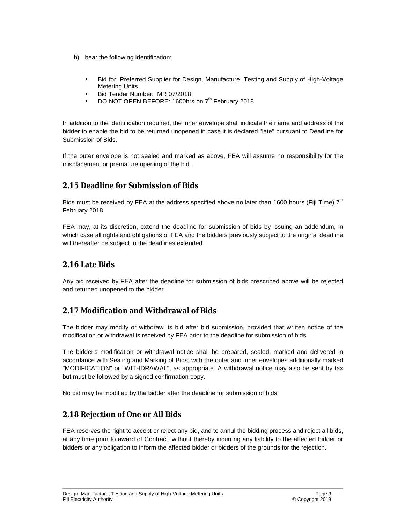- b) bear the following identification:
	- Bid for: Preferred Supplier for Design, Manufacture, Testing and Supply of High-Voltage Metering Units
	- Bid Tender Number: MR 07/2018
	- DO NOT OPEN BEFORE: 1600hrs on 7<sup>th</sup> February 2018

In addition to the identification required, the inner envelope shall indicate the name and address of the bidder to enable the bid to be returned unopened in case it is declared "late" pursuant to Deadline for Submission of Bids.

If the outer envelope is not sealed and marked as above, FEA will assume no responsibility for the misplacement or premature opening of the bid.

## **2.15 Deadline for Submission of Bids**

Bids must be received by FEA at the address specified above no later than 1600 hours (Fiji Time)  $7<sup>th</sup>$ February 2018.

FEA may, at its discretion, extend the deadline for submission of bids by issuing an addendum, in which case all rights and obligations of FEA and the bidders previously subject to the original deadline will thereafter be subject to the deadlines extended.

### **2.16 Late Bids**

Any bid received by FEA after the deadline for submission of bids prescribed above will be rejected and returned unopened to the bidder.

## **2.17 Modification and Withdrawal of Bids**

The bidder may modify or withdraw its bid after bid submission, provided that written notice of the modification or withdrawal is received by FEA prior to the deadline for submission of bids.

The bidder's modification or withdrawal notice shall be prepared, sealed, marked and delivered in accordance with Sealing and Marking of Bids, with the outer and inner envelopes additionally marked "MODIFICATION" or "WITHDRAWAL", as appropriate. A withdrawal notice may also be sent by fax but must be followed by a signed confirmation copy.

No bid may be modified by the bidder after the deadline for submission of bids.

## **2.18 Rejection of One or All Bids**

FEA reserves the right to accept or reject any bid, and to annul the bidding process and reject all bids, at any time prior to award of Contract, without thereby incurring any liability to the affected bidder or bidders or any obligation to inform the affected bidder or bidders of the grounds for the rejection.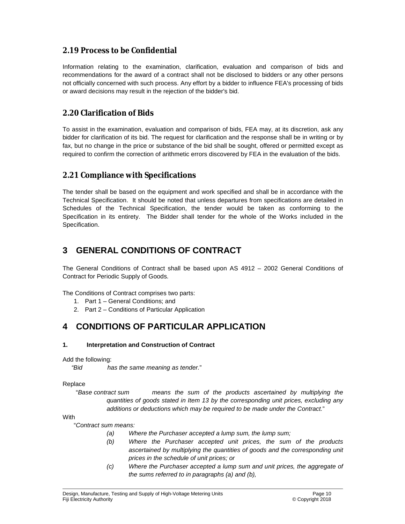## **2.19 Process to be Confidential**

Information relating to the examination, clarification, evaluation and comparison of bids and recommendations for the award of a contract shall not be disclosed to bidders or any other persons not officially concerned with such process. Any effort by a bidder to influence FEA's processing of bids or award decisions may result in the rejection of the bidder's bid.

## **2.20 Clarification of Bids**

To assist in the examination, evaluation and comparison of bids, FEA may, at its discretion, ask any bidder for clarification of its bid. The request for clarification and the response shall be in writing or by fax, but no change in the price or substance of the bid shall be sought, offered or permitted except as required to confirm the correction of arithmetic errors discovered by FEA in the evaluation of the bids.

### **2.21 Compliance with Specifications**

The tender shall be based on the equipment and work specified and shall be in accordance with the Technical Specification. It should be noted that unless departures from specifications are detailed in Schedules of the Technical Specification, the tender would be taken as conforming to the Specification in its entirety. The Bidder shall tender for the whole of the Works included in the Specification.

## **3 GENERAL CONDITIONS OF CONTRACT**

The General Conditions of Contract shall be based upon AS 4912 – 2002 General Conditions of Contract for Periodic Supply of Goods.

The Conditions of Contract comprises two parts:

- 1. Part 1 General Conditions; and
- 2. Part 2 Conditions of Particular Application

## **4 CONDITIONS OF PARTICULAR APPLICATION**

#### **1. Interpretation and Construction of Contract**

Add the following:

*"Bid has the same meaning as tender.*"

#### Replace

"*Base contract sum means the sum of the products ascertained by multiplying the quantities of goods stated in Item 13 by the corresponding unit prices, excluding any additions or deductions which may be required to be made under the Contract.*"

#### **With**

"*Contract sum means:*

- *(a) Where the Purchaser accepted a lump sum, the lump sum;*
- *(b) Where the Purchaser accepted unit prices, the sum of the products ascertained by multiplying the quantities of goods and the corresponding unit prices in the schedule of unit prices; or*
- *(c) Where the Purchaser accepted a lump sum and unit prices, the aggregate of the sums referred to in paragraphs (a) and (b),*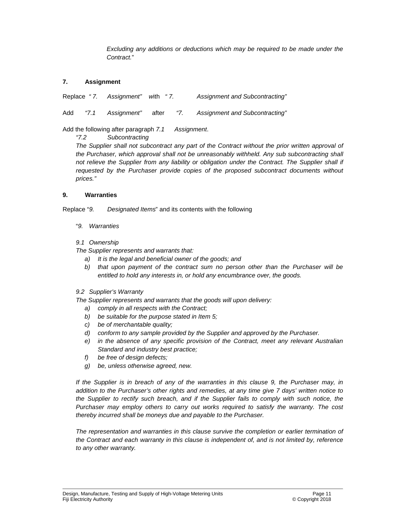*Excluding any additions or deductions which may be required to be made under the Contract.*"

#### **7. Assignment**

Replace *" 7. Assignment" w*ith *" 7. Assignment and Subcontracting"* 

Add *"7.1 Assignment"* after *"7. Assignment and Subcontracting"*

Add the following after paragraph *7.1 Assignment*.

*"7.2 Subcontracting* 

*The Supplier shall not subcontract any part of the Contract without the prior written approval of the Purchaser, which approval shall not be unreasonably withheld. Any sub subcontracting shall not relieve the Supplier from any liability or obligation under the Contract. The Supplier shall if requested by the Purchaser provide copies of the proposed subcontract documents without prices."* 

#### **9. Warranties**

Replace "*9. Designated Items*" and its contents with the following

"*9. Warranties* 

#### *9.1 Ownership*

*The Supplier represents and warrants that:* 

- *a) It is the legal and beneficial owner of the goods; and*
- *b) that upon payment of the contract sum no person other than the Purchaser will be entitled to hold any interests in, or hold any encumbrance over, the goods.*
- *9.2 Supplier's Warranty*

*The Supplier represents and warrants that the goods will upon delivery:* 

- *a) comply in all respects with the Contract;*
- *b) be suitable for the purpose stated in Item 5;*
- *c) be of merchantable quality;*
- *d) conform to any sample provided by the Supplier and approved by the Purchaser.*
- *e) in the absence of any specific provision of the Contract, meet any relevant Australian Standard and industry best practice;*
- *f) be free of design defects;*
- *g) be, unless otherwise agreed, new.*

If the Supplier is in breach of any of the warranties in this clause 9, the Purchaser may, in *addition to the Purchaser's other rights and remedies, at any time give 7 days' written notice to the Supplier to rectify such breach, and if the Supplier fails to comply with such notice, the Purchaser may employ others to carry out works required to satisfy the warranty. The cost thereby incurred shall be moneys due and payable to the Purchaser.* 

*The representation and warranties in this clause survive the completion or earlier termination of the Contract and each warranty in this clause is independent of, and is not limited by, reference to any other warranty.*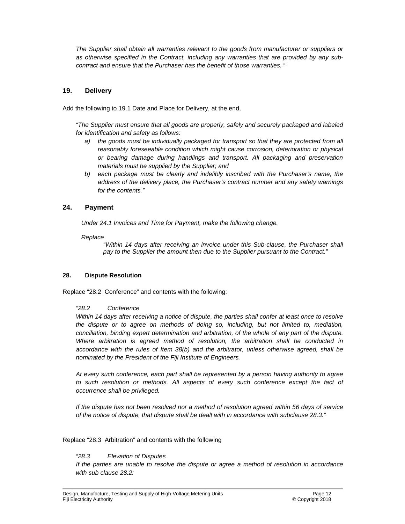*The Supplier shall obtain all warranties relevant to the goods from manufacturer or suppliers or as otherwise specified in the Contract, including any warranties that are provided by any subcontract and ensure that the Purchaser has the benefit of those warranties.* "

#### **19. Delivery**

Add the following to 19.1 Date and Place for Delivery, at the end,

*"The Supplier must ensure that all goods are properly, safely and securely packaged and labeled for identification and safety as follows:* 

- *a) the goods must be individually packaged for transport so that they are protected from all reasonably foreseeable condition which might cause corrosion, deterioration or physical or bearing damage during handlings and transport. All packaging and preservation materials must be supplied by the Supplier; and*
- *b) each package must be clearly and indelibly inscribed with the Purchaser's name, the address of the delivery place, the Purchaser's contract number and any safety warnings for the contents."*

#### **24. Payment**

*Under 24.1 Invoices and Time for Payment, make the following change.* 

#### *Replace*

*"Within 14 days after receiving an invoice under this Sub-clause, the Purchaser shall pay to the Supplier the amount then due to the Supplier pursuant to the Contract."* 

#### **28. Dispute Resolution**

Replace "28.2 Conference" and contents with the following:

#### *"28.2 Conference*

Within 14 days after receiving a notice of dispute, the parties shall confer at least once to resolve *the dispute or to agree on methods of doing so, including, but not limited to, mediation, conciliation, binding expert determination and arbitration, of the whole of any part of the dispute. Where arbitration is agreed method of resolution, the arbitration shall be conducted in accordance with the rules of Item 38(b) and the arbitrator, unless otherwise agreed, shall be nominated by the President of the Fiji Institute of Engineers.* 

*At every such conference, each part shall be represented by a person having authority to agree to such resolution or methods. All aspects of every such conference except the fact of occurrence shall be privileged.* 

*If the dispute has not been resolved nor a method of resolution agreed within 56 days of service of the notice of dispute, that dispute shall be dealt with in accordance with subclause 28.3."* 

#### Replace "28.3 Arbitration" and contents with the following

#### "*28.3 Elevation of Disputes*

*If the parties are unable to resolve the dispute or agree a method of resolution in accordance with sub clause 28.2:*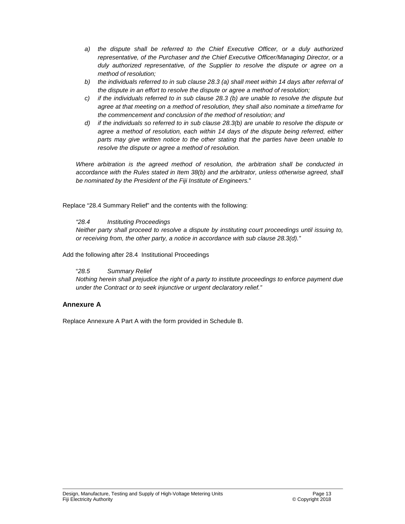- *a) the dispute shall be referred to the Chief Executive Officer, or a duly authorized representative, of the Purchaser and the Chief Executive Officer/Managing Director, or a duly authorized representative, of the Supplier to resolve the dispute or agree on a method of resolution;*
- *b) the individuals referred to in sub clause 28.3 (a) shall meet within 14 days after referral of the dispute in an effort to resolve the dispute or agree a method of resolution;*
- *c) if the individuals referred to in sub clause 28.3 (b) are unable to resolve the dispute but agree at that meeting on a method of resolution, they shall also nominate a timeframe for the commencement and conclusion of the method of resolution; and*
- *d) if the individuals so referred to in sub clause 28.3(b) are unable to resolve the dispute or agree a method of resolution, each within 14 days of the dispute being referred, either parts may give written notice to the other stating that the parties have been unable to resolve the dispute or agree a method of resolution.*

*Where arbitration is the agreed method of resolution, the arbitration shall be conducted in accordance with the Rules stated in Item 38(b) and the arbitrator, unless otherwise agreed, shall be nominated by the President of the Fiji Institute of Engineers.*"

Replace "28.4 Summary Relief" and the contents with the following:

#### *"28.4 Instituting Proceedings*

*Neither party shall proceed to resolve a dispute by instituting court proceedings until issuing to, or receiving from, the other party, a notice in accordance with sub clause 28.3(d)."* 

Add the following after 28.4 Institutional Proceedings

#### "*28.5 Summary Relief*

*Nothing herein shall prejudice the right of a party to institute proceedings to enforce payment due under the Contract or to seek injunctive or urgent declaratory relief."* 

#### **Annexure A**

Replace Annexure A Part A with the form provided in Schedule B.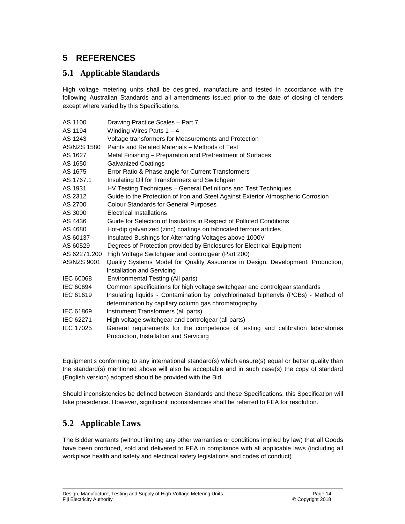## **5 REFERENCES**

## **5.1 Applicable Standards**

High voltage metering units shall be designed, manufacture and tested in accordance with the following Australian Standards and all amendments issued prior to the date of closing of tenders except where varied by this Specifications.

| AS 1100          | Drawing Practice Scales - Part 7                                                                              |
|------------------|---------------------------------------------------------------------------------------------------------------|
| AS 1194          | Winding Wires Parts $1 - 4$                                                                                   |
| AS 1243          | Voltage transformers for Measurements and Protection                                                          |
| AS/NZS 1580      | Paints and Related Materials - Methods of Test                                                                |
| AS 1627          | Metal Finishing - Preparation and Pretreatment of Surfaces                                                    |
| AS 1650          | <b>Galvanized Coatings</b>                                                                                    |
| AS 1675          | Error Ratio & Phase angle for Current Transformers                                                            |
| AS 1767.1        | Insulating Oil for Transformers and Switchgear                                                                |
| AS 1931          | HV Testing Techniques - General Definitions and Test Techniques                                               |
| AS 2312          | Guide to the Protection of Iron and Steel Against Exterior Atmospheric Corrosion                              |
| AS 2700          | <b>Colour Standards for General Purposes</b>                                                                  |
| AS 3000          | Electrical Installations                                                                                      |
| AS 4436          | Guide for Selection of Insulators in Respect of Polluted Conditions                                           |
| AS 4680          | Hot-dip galvanized (zinc) coatings on fabricated ferrous articles                                             |
| AS 60137         | Insulated Bushings for Alternating Voltages above 1000V                                                       |
| AS 60529         | Degrees of Protection provided by Enclosures for Electrical Equipment                                         |
| AS 62271.200     | High Voltage Switchgear and controlgear (Part 200)                                                            |
| AS/NZS 9001      | Quality Systems Model for Quality Assurance in Design, Development, Production,<br>Installation and Servicing |
| IEC 60068        | Environmental Testing (All parts)                                                                             |
| IEC 60694        | Common specifications for high voltage switchgear and controlgear standards                                   |
| IEC 61619        | Insulating liquids - Contamination by polychlorinated biphenyls (PCBs) - Method of                            |
|                  | determination by capillary column gas chromatography                                                          |
| IEC 61869        | Instrument Transformers (all parts)                                                                           |
| IEC 62271        | High voltage switchgear and controlgear (all parts)                                                           |
| <b>IEC 17025</b> | General requirements for the competence of testing and calibration laboratories                               |
|                  | Production, Installation and Servicing                                                                        |

Equipment's conforming to any international standard(s) which ensure(s) equal or better quality than the standard(s) mentioned above will also be acceptable and in such case(s) the copy of standard (English version) adopted should be provided with the Bid.

Should inconsistencies be defined between Standards and these Specifications, this Specification will take precedence. However, significant inconsistencies shall be referred to FEA for resolution.

## **5.2 Applicable Laws**

The Bidder warrants (without limiting any other warranties or conditions implied by law) that all Goods have been produced, sold and delivered to FEA in compliance with all applicable laws (including all workplace health and safety and electrical safety legislations and codes of conduct).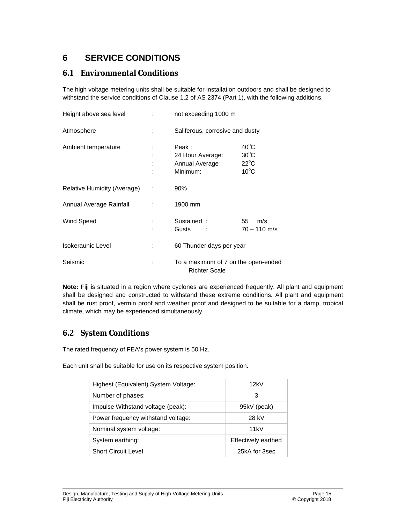## **6 SERVICE CONDITIONS**

### **6.1 Environmental Conditions**

The high voltage metering units shall be suitable for installation outdoors and shall be designed to withstand the service conditions of Clause 1.2 of AS 2374 (Part 1), with the following additions.

| Height above sea level      | <b>The Company</b> | not exceeding 1000 m                                        |                                                                      |
|-----------------------------|--------------------|-------------------------------------------------------------|----------------------------------------------------------------------|
| Atmosphere                  |                    | Saliferous, corrosive and dusty                             |                                                                      |
| Ambient temperature         |                    | Peak:<br>24 Hour Average:<br>Annual Average:<br>Minimum:    | $40^{\circ}$ C<br>$30^{\circ}$ C<br>$22^{\circ}$ C<br>$10^{\circ}$ C |
| Relative Humidity (Average) | ÷                  | 90%                                                         |                                                                      |
| Annual Average Rainfall     |                    | 1900 mm                                                     |                                                                      |
| Wind Speed                  |                    | Sustained:<br>Gusts<br><b>Contract</b>                      | 55<br>m/s<br>$70 - 110$ m/s                                          |
| Isokeraunic Level           |                    | 60 Thunder days per year                                    |                                                                      |
| Seismic                     |                    | To a maximum of 7 on the open-ended<br><b>Richter Scale</b> |                                                                      |

**Note:** Fiji is situated in a region where cyclones are experienced frequently. All plant and equipment shall be designed and constructed to withstand these extreme conditions. All plant and equipment shall be rust proof, vermin proof and weather proof and designed to be suitable for a damp, tropical climate, which may be experienced simultaneously.

## **6.2 System Conditions**

The rated frequency of FEA's power system is 50 Hz.

Each unit shall be suitable for use on its respective system position.

| Highest (Equivalent) System Voltage: | 12kV                |
|--------------------------------------|---------------------|
| Number of phases:                    | 3                   |
| Impulse Withstand voltage (peak):    | 95kV (peak)         |
| Power frequency withstand voltage:   | 28 kV               |
| Nominal system voltage:              | 11kV                |
| System earthing:                     | Effectively earthed |
| <b>Short Circuit Level</b>           | 25kA for 3sec       |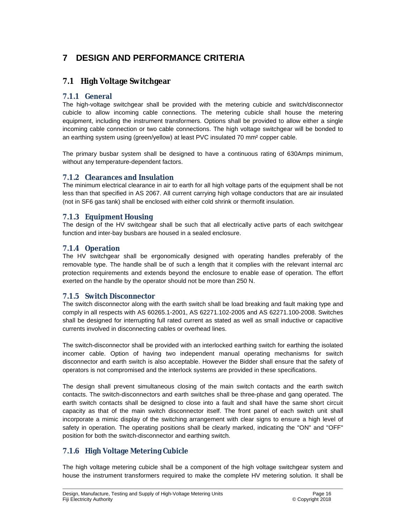## **7 DESIGN AND PERFORMANCE CRITERIA**

### **7.1 High Voltage Switchgear**

#### **7.1.1 General**

The high-voltage switchgear shall be provided with the metering cubicle and switch/disconnector cubicle to allow incoming cable connections. The metering cubicle shall house the metering equipment, including the instrument transformers. Options shall be provided to allow either a single incoming cable connection or two cable connections. The high voltage switchgear will be bonded to an earthing system using (green/yellow) at least PVC insulated 70 mm² copper cable.

The primary busbar system shall be designed to have a continuous rating of 630Amps minimum, without any temperature-dependent factors.

#### **7.1.2 Clearances and Insulation**

The minimum electrical clearance in air to earth for all high voltage parts of the equipment shall be not less than that specified in AS 2067. All current carrying high voltage conductors that are air insulated (not in SF6 gas tank) shall be enclosed with either cold shrink or thermofit insulation.

#### **7.1.3 Equipment Housing**

The design of the HV switchgear shall be such that all electrically active parts of each switchgear function and inter-bay busbars are housed in a sealed enclosure.

#### **7.1.4 Operation**

The HV switchgear shall be ergonomically designed with operating handles preferably of the removable type. The handle shall be of such a length that it complies with the relevant internal arc protection requirements and extends beyond the enclosure to enable ease of operation. The effort exerted on the handle by the operator should not be more than 250 N.

#### **7.1.5 Switch Disconnector**

The switch disconnector along with the earth switch shall be load breaking and fault making type and comply in all respects with AS 60265.1-2001, AS 62271.102-2005 and AS 62271.100-2008. Switches shall be designed for interrupting full rated current as stated as well as small inductive or capacitive currents involved in disconnecting cables or overhead lines.

The switch-disconnector shall be provided with an interlocked earthing switch for earthing the isolated incomer cable. Option of having two independent manual operating mechanisms for switch disconnector and earth switch is also acceptable. However the Bidder shall ensure that the safety of operators is not compromised and the interlock systems are provided in these specifications.

The design shall prevent simultaneous closing of the main switch contacts and the earth switch contacts. The switch-disconnectors and earth switches shall be three-phase and gang operated. The earth switch contacts shall be designed to close into a fault and shall have the same short circuit capacity as that of the main switch disconnector itself. The front panel of each switch unit shall incorporate a mimic display of the switching arrangement with clear signs to ensure a high level of safety in operation. The operating positions shall be clearly marked, indicating the "ON" and "OFF" position for both the switch-disconnector and earthing switch.

### **7.1.6 High Voltage Metering Cubicle**

The high voltage metering cubicle shall be a component of the high voltage switchgear system and house the instrument transformers required to make the complete HV metering solution. It shall be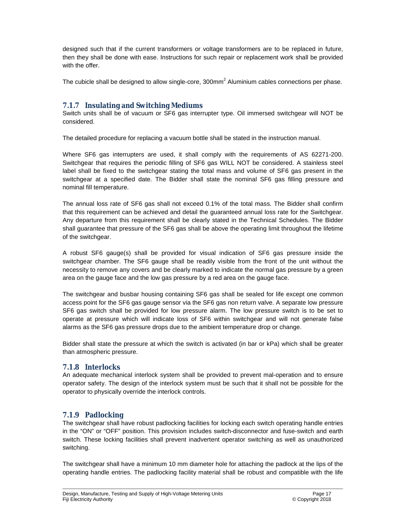designed such that if the current transformers or voltage transformers are to be replaced in future, then they shall be done with ease. Instructions for such repair or replacement work shall be provided with the offer.

The cubicle shall be designed to allow single-core,  $300$ mm<sup>2</sup> Aluminium cables connections per phase.

#### **7.1.7 Insulating and Switching Mediums**

Switch units shall be of vacuum or SF6 gas interrupter type. Oil immersed switchgear will NOT be considered.

The detailed procedure for replacing a vacuum bottle shall be stated in the instruction manual.

Where SF6 gas interrupters are used, it shall comply with the requirements of AS 62271-200. Switchgear that requires the periodic filling of SF6 gas WILL NOT be considered. A stainless steel label shall be fixed to the switchgear stating the total mass and volume of SF6 gas present in the switchgear at a specified date. The Bidder shall state the nominal SF6 gas filling pressure and nominal fill temperature.

The annual loss rate of SF6 gas shall not exceed 0.1% of the total mass. The Bidder shall confirm that this requirement can be achieved and detail the guaranteed annual loss rate for the Switchgear. Any departure from this requirement shall be clearly stated in the Technical Schedules. The Bidder shall guarantee that pressure of the SF6 gas shall be above the operating limit throughout the lifetime of the switchgear.

A robust SF6 gauge(s) shall be provided for visual indication of SF6 gas pressure inside the switchgear chamber. The SF6 gauge shall be readily visible from the front of the unit without the necessity to remove any covers and be clearly marked to indicate the normal gas pressure by a green area on the gauge face and the low gas pressure by a red area on the gauge face.

The switchgear and busbar housing containing SF6 gas shall be sealed for life except one common access point for the SF6 gas gauge sensor via the SF6 gas non return valve. A separate low pressure SF6 gas switch shall be provided for low pressure alarm. The low pressure switch is to be set to operate at pressure which will indicate loss of SF6 within switchgear and will not generate false alarms as the SF6 gas pressure drops due to the ambient temperature drop or change.

Bidder shall state the pressure at which the switch is activated (in bar or kPa) which shall be greater than atmospheric pressure.

#### **7.1.8 Interlocks**

An adequate mechanical interlock system shall be provided to prevent mal-operation and to ensure operator safety. The design of the interlock system must be such that it shall not be possible for the operator to physically override the interlock controls.

#### **7.1.9 Padlocking**

The switchgear shall have robust padlocking facilities for locking each switch operating handle entries in the "ON" or "OFF" position. This provision includes switch-disconnector and fuse-switch and earth switch. These locking facilities shall prevent inadvertent operator switching as well as unauthorized switching.

The switchgear shall have a minimum 10 mm diameter hole for attaching the padlock at the lips of the operating handle entries. The padlocking facility material shall be robust and compatible with the life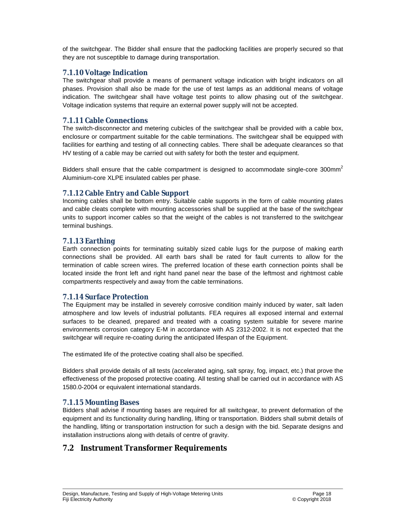of the switchgear. The Bidder shall ensure that the padlocking facilities are properly secured so that they are not susceptible to damage during transportation.

#### **7.1.10 Voltage Indication**

The switchgear shall provide a means of permanent voltage indication with bright indicators on all phases. Provision shall also be made for the use of test lamps as an additional means of voltage indication. The switchgear shall have voltage test points to allow phasing out of the switchgear. Voltage indication systems that require an external power supply will not be accepted.

#### **7.1.11 Cable Connections**

The switch-disconnector and metering cubicles of the switchgear shall be provided with a cable box, enclosure or compartment suitable for the cable terminations. The switchgear shall be equipped with facilities for earthing and testing of all connecting cables. There shall be adequate clearances so that HV testing of a cable may be carried out with safety for both the tester and equipment.

Bidders shall ensure that the cable compartment is designed to accommodate single-core 300mm<sup>2</sup> Aluminium-core XLPE insulated cables per phase.

#### **7.1.12 Cable Entry and Cable Support**

Incoming cables shall be bottom entry. Suitable cable supports in the form of cable mounting plates and cable cleats complete with mounting accessories shall be supplied at the base of the switchgear units to support incomer cables so that the weight of the cables is not transferred to the switchgear terminal bushings.

#### **7.1.13 Earthing**

Earth connection points for terminating suitably sized cable lugs for the purpose of making earth connections shall be provided. All earth bars shall be rated for fault currents to allow for the termination of cable screen wires. The preferred location of these earth connection points shall be located inside the front left and right hand panel near the base of the leftmost and rightmost cable compartments respectively and away from the cable terminations.

#### **7.1.14 Surface Protection**

The Equipment may be installed in severely corrosive condition mainly induced by water, salt laden atmosphere and low levels of industrial pollutants. FEA requires all exposed internal and external surfaces to be cleaned, prepared and treated with a coating system suitable for severe marine environments corrosion category E-M in accordance with AS 2312-2002. It is not expected that the switchgear will require re-coating during the anticipated lifespan of the Equipment.

The estimated life of the protective coating shall also be specified.

Bidders shall provide details of all tests (accelerated aging, salt spray, fog, impact, etc.) that prove the effectiveness of the proposed protective coating. All testing shall be carried out in accordance with AS 1580.0-2004 or equivalent international standards.

#### **7.1.15 Mounting Bases**

Bidders shall advise if mounting bases are required for all switchgear, to prevent deformation of the equipment and its functionality during handling, lifting or transportation. Bidders shall submit details of the handling, lifting or transportation instruction for such a design with the bid. Separate designs and installation instructions along with details of centre of gravity.

### **7.2 Instrument Transformer Requirements**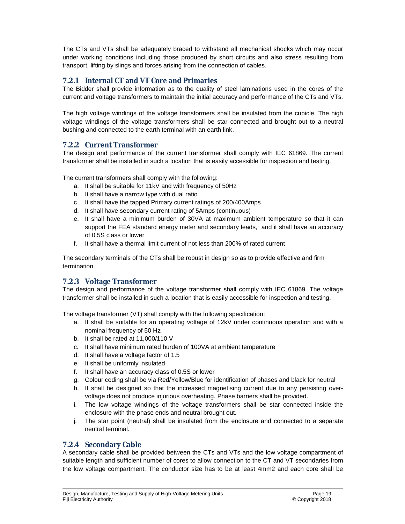The CTs and VTs shall be adequately braced to withstand all mechanical shocks which may occur under working conditions including those produced by short circuits and also stress resulting from transport, lifting by slings and forces arising from the connection of cables.

#### **7.2.1 Internal CT and VT Core and Primaries**

The Bidder shall provide information as to the quality of steel laminations used in the cores of the current and voltage transformers to maintain the initial accuracy and performance of the CTs and VTs.

The high voltage windings of the voltage transformers shall be insulated from the cubicle. The high voltage windings of the voltage transformers shall be star connected and brought out to a neutral bushing and connected to the earth terminal with an earth link.

#### **7.2.2 Current Transformer**

The design and performance of the current transformer shall comply with IEC 61869. The current transformer shall be installed in such a location that is easily accessible for inspection and testing.

The current transformers shall comply with the following:

- a. It shall be suitable for 11kV and with frequency of 50Hz
- b. It shall have a narrow type with dual ratio
- c. It shall have the tapped Primary current ratings of 200/400Amps
- d. It shall have secondary current rating of 5Amps (continuous)
- e. It shall have a minimum burden of 30VA at maximum ambient temperature so that it can support the FEA standard energy meter and secondary leads, and it shall have an accuracy of 0.5S class or lower
- f. It shall have a thermal limit current of not less than 200% of rated current

The secondary terminals of the CTs shall be robust in design so as to provide effective and firm termination.

#### **7.2.3 Voltage Transformer**

The design and performance of the voltage transformer shall comply with IEC 61869. The voltage transformer shall be installed in such a location that is easily accessible for inspection and testing.

The voltage transformer (VT) shall comply with the following specification:

- a. It shall be suitable for an operating voltage of 12kV under continuous operation and with a nominal frequency of 50 Hz
- b. It shall be rated at 11,000/110 V
- c. It shall have minimum rated burden of 100VA at ambient temperature
- d. It shall have a voltage factor of 1.5
- e. It shall be uniformly insulated
- f. It shall have an accuracy class of 0.5S or lower
- g. Colour coding shall be via Red/Yellow/Blue for identification of phases and black for neutral
- h. It shall be designed so that the increased magnetising current due to any persisting overvoltage does not produce injurious overheating. Phase barriers shall be provided.
- i. The low voltage windings of the voltage transformers shall be star connected inside the enclosure with the phase ends and neutral brought out.
- j. The star point (neutral) shall be insulated from the enclosure and connected to a separate neutral terminal.

#### **7.2.4 Secondary Cable**

A secondary cable shall be provided between the CTs and VTs and the low voltage compartment of suitable length and sufficient number of cores to allow connection to the CT and VT secondaries from the low voltage compartment. The conductor size has to be at least 4mm2 and each core shall be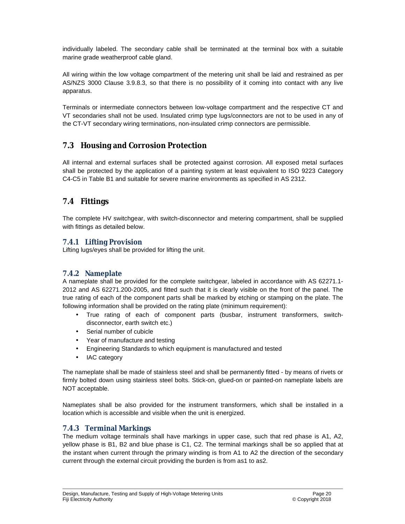individually labeled. The secondary cable shall be terminated at the terminal box with a suitable marine grade weatherproof cable gland.

All wiring within the low voltage compartment of the metering unit shall be laid and restrained as per AS/NZS 3000 Clause 3.9.8.3, so that there is no possibility of it coming into contact with any live apparatus.

Terminals or intermediate connectors between low-voltage compartment and the respective CT and VT secondaries shall not be used. Insulated crimp type lugs/connectors are not to be used in any of the CT-VT secondary wiring terminations, non-insulated crimp connectors are permissible.

### **7.3 Housing and Corrosion Protection**

All internal and external surfaces shall be protected against corrosion. All exposed metal surfaces shall be protected by the application of a painting system at least equivalent to ISO 9223 Category C4-C5 in Table B1 and suitable for severe marine environments as specified in AS 2312.

### **7.4 Fittings**

The complete HV switchgear, with switch-disconnector and metering compartment, shall be supplied with fittings as detailed below.

#### **7.4.1 Lifting Provision**

Lifting lugs/eyes shall be provided for lifting the unit.

#### **7.4.2 Nameplate**

A nameplate shall be provided for the complete switchgear, labeled in accordance with AS 62271.1- 2012 and AS 62271.200-2005, and fitted such that it is clearly visible on the front of the panel. The true rating of each of the component parts shall be marked by etching or stamping on the plate. The following information shall be provided on the rating plate (minimum requirement):

- True rating of each of component parts (busbar, instrument transformers, switchdisconnector, earth switch etc.)
- Serial number of cubicle
- Year of manufacture and testing
- Engineering Standards to which equipment is manufactured and tested
- IAC category

The nameplate shall be made of stainless steel and shall be permanently fitted - by means of rivets or firmly bolted down using stainless steel bolts. Stick-on, glued-on or painted-on nameplate labels are NOT acceptable.

Nameplates shall be also provided for the instrument transformers, which shall be installed in a location which is accessible and visible when the unit is energized.

#### **7.4.3 Terminal Markings**

The medium voltage terminals shall have markings in upper case, such that red phase is A1, A2, yellow phase is B1, B2 and blue phase is C1, C2. The terminal markings shall be so applied that at the instant when current through the primary winding is from A1 to A2 the direction of the secondary current through the external circuit providing the burden is from as1 to as2.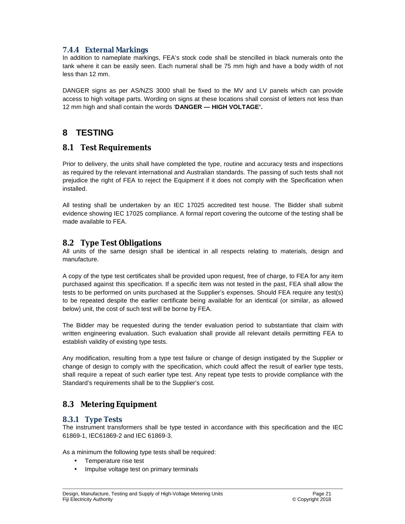### **7.4.4 External Markings**

In addition to nameplate markings, FEA's stock code shall be stencilled in black numerals onto the tank where it can be easily seen. Each numeral shall be 75 mm high and have a body width of not less than 12 mm.

DANGER signs as per AS/NZS 3000 shall be fixed to the MV and LV panels which can provide access to high voltage parts. Wording on signs at these locations shall consist of letters not less than 12 mm high and shall contain the words '**DANGER — HIGH VOLTAGE'.**

## **8 TESTING**

### **8.1 Test Requirements**

Prior to delivery, the units shall have completed the type, routine and accuracy tests and inspections as required by the relevant international and Australian standards. The passing of such tests shall not prejudice the right of FEA to reject the Equipment if it does not comply with the Specification when installed.

All testing shall be undertaken by an IEC 17025 accredited test house. The Bidder shall submit evidence showing IEC 17025 compliance. A formal report covering the outcome of the testing shall be made available to FEA.

#### **8.2 Type Test Obligations**

All units of the same design shall be identical in all respects relating to materials, design and manufacture.

A copy of the type test certificates shall be provided upon request, free of charge, to FEA for any item purchased against this specification. If a specific item was not tested in the past, FEA shall allow the tests to be performed on units purchased at the Supplier's expenses. Should FEA require any test(s) to be repeated despite the earlier certificate being available for an identical (or similar, as allowed below) unit, the cost of such test will be borne by FEA.

The Bidder may be requested during the tender evaluation period to substantiate that claim with written engineering evaluation. Such evaluation shall provide all relevant details permitting FEA to establish validity of existing type tests.

Any modification, resulting from a type test failure or change of design instigated by the Supplier or change of design to comply with the specification, which could affect the result of earlier type tests, shall require a repeat of such earlier type test. Any repeat type tests to provide compliance with the Standard's requirements shall be to the Supplier's cost.

## **8.3 Metering Equipment**

#### **8.3.1 Type Tests**

The instrument transformers shall be type tested in accordance with this specification and the IEC 61869-1, IEC61869-2 and IEC 61869-3.

As a minimum the following type tests shall be required:

- Temperature rise test
- Impulse voltage test on primary terminals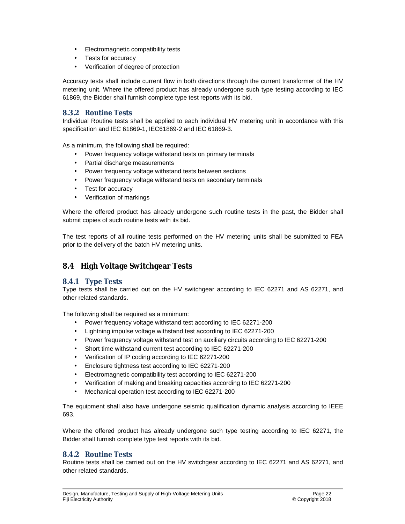- Electromagnetic compatibility tests
- Tests for accuracy
- Verification of degree of protection

Accuracy tests shall include current flow in both directions through the current transformer of the HV metering unit. Where the offered product has already undergone such type testing according to IEC 61869, the Bidder shall furnish complete type test reports with its bid.

#### **8.3.2 Routine Tests**

Individual Routine tests shall be applied to each individual HV metering unit in accordance with this specification and IEC 61869-1, IEC61869-2 and IEC 61869-3.

As a minimum, the following shall be required:

- Power frequency voltage withstand tests on primary terminals
- Partial discharge measurements
- Power frequency voltage withstand tests between sections
- Power frequency voltage withstand tests on secondary terminals
- Test for accuracy
- Verification of markings

Where the offered product has already undergone such routine tests in the past, the Bidder shall submit copies of such routine tests with its bid.

The test reports of all routine tests performed on the HV metering units shall be submitted to FEA prior to the delivery of the batch HV metering units.

### **8.4 High Voltage Switchgear Tests**

#### **8.4.1 Type Tests**

Type tests shall be carried out on the HV switchgear according to IEC 62271 and AS 62271, and other related standards.

The following shall be required as a minimum:

- Power frequency voltage withstand test according to IEC 62271-200
- Lightning impulse voltage withstand test according to IEC 62271-200
- Power frequency voltage withstand test on auxiliary circuits according to IEC 62271-200
- Short time withstand current test according to IEC 62271-200
- Verification of IP coding according to IEC 62271-200
- Enclosure tightness test according to IEC 62271-200
- Electromagnetic compatibility test according to IEC 62271-200
- Verification of making and breaking capacities according to IEC 62271-200
- Mechanical operation test according to IEC 62271-200

The equipment shall also have undergone seismic qualification dynamic analysis according to IEEE 693.

Where the offered product has already undergone such type testing according to IEC 62271, the Bidder shall furnish complete type test reports with its bid.

#### **8.4.2 Routine Tests**

Routine tests shall be carried out on the HV switchgear according to IEC 62271 and AS 62271, and other related standards.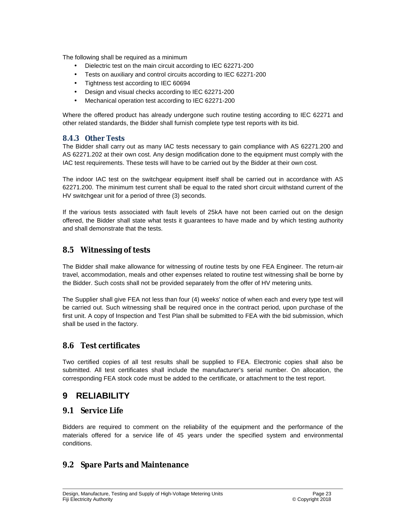The following shall be required as a minimum

- Dielectric test on the main circuit according to IEC 62271-200
- Tests on auxiliary and control circuits according to IEC 62271-200
- Tightness test according to IEC 60694
- Design and visual checks according to IEC 62271-200
- Mechanical operation test according to IEC 62271-200

Where the offered product has already undergone such routine testing according to IEC 62271 and other related standards, the Bidder shall furnish complete type test reports with its bid.

#### **8.4.3 Other Tests**

The Bidder shall carry out as many IAC tests necessary to gain compliance with AS 62271.200 and AS 62271.202 at their own cost. Any design modification done to the equipment must comply with the IAC test requirements. These tests will have to be carried out by the Bidder at their own cost.

The indoor IAC test on the switchgear equipment itself shall be carried out in accordance with AS 62271.200. The minimum test current shall be equal to the rated short circuit withstand current of the HV switchgear unit for a period of three (3) seconds.

If the various tests associated with fault levels of 25kA have not been carried out on the design offered, the Bidder shall state what tests it guarantees to have made and by which testing authority and shall demonstrate that the tests.

#### **8.5 Witnessing of tests**

The Bidder shall make allowance for witnessing of routine tests by one FEA Engineer. The return-air travel, accommodation, meals and other expenses related to routine test witnessing shall be borne by the Bidder. Such costs shall not be provided separately from the offer of HV metering units.

The Supplier shall give FEA not less than four (4) weeks' notice of when each and every type test will be carried out. Such witnessing shall be required once in the contract period, upon purchase of the first unit. A copy of Inspection and Test Plan shall be submitted to FEA with the bid submission, which shall be used in the factory.

#### **8.6 Test certificates**

Two certified copies of all test results shall be supplied to FEA. Electronic copies shall also be submitted. All test certificates shall include the manufacturer's serial number. On allocation, the corresponding FEA stock code must be added to the certificate, or attachment to the test report.

## **9 RELIABILITY**

#### **9.1 Service Life**

Bidders are required to comment on the reliability of the equipment and the performance of the materials offered for a service life of 45 years under the specified system and environmental conditions.

### **9.2 Spare Parts and Maintenance**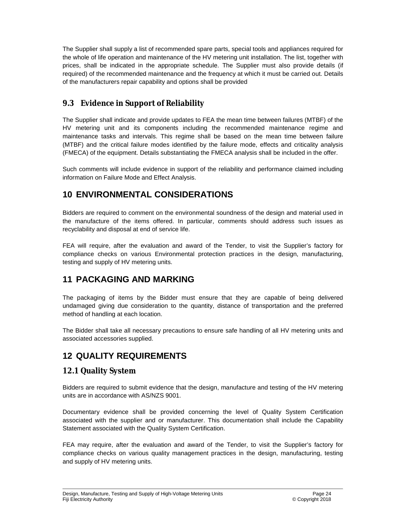The Supplier shall supply a list of recommended spare parts, special tools and appliances required for the whole of life operation and maintenance of the HV metering unit installation. The list, together with prices, shall be indicated in the appropriate schedule. The Supplier must also provide details (if required) of the recommended maintenance and the frequency at which it must be carried out. Details of the manufacturers repair capability and options shall be provided

## **9.3 Evidence in Support of Reliability**

The Supplier shall indicate and provide updates to FEA the mean time between failures (MTBF) of the HV metering unit and its components including the recommended maintenance regime and maintenance tasks and intervals. This regime shall be based on the mean time between failure (MTBF) and the critical failure modes identified by the failure mode, effects and criticality analysis (FMECA) of the equipment. Details substantiating the FMECA analysis shall be included in the offer.

Such comments will include evidence in support of the reliability and performance claimed including information on Failure Mode and Effect Analysis.

## **10 ENVIRONMENTAL CONSIDERATIONS**

Bidders are required to comment on the environmental soundness of the design and material used in the manufacture of the items offered. In particular, comments should address such issues as recyclability and disposal at end of service life.

FEA will require, after the evaluation and award of the Tender, to visit the Supplier's factory for compliance checks on various Environmental protection practices in the design, manufacturing, testing and supply of HV metering units.

## **11 PACKAGING AND MARKING**

The packaging of items by the Bidder must ensure that they are capable of being delivered undamaged giving due consideration to the quantity, distance of transportation and the preferred method of handling at each location.

The Bidder shall take all necessary precautions to ensure safe handling of all HV metering units and associated accessories supplied.

## **12 QUALITY REQUIREMENTS**

## **12.1 Quality System**

Bidders are required to submit evidence that the design, manufacture and testing of the HV metering units are in accordance with AS/NZS 9001.

Documentary evidence shall be provided concerning the level of Quality System Certification associated with the supplier and or manufacturer. This documentation shall include the Capability Statement associated with the Quality System Certification.

FEA may require, after the evaluation and award of the Tender, to visit the Supplier's factory for compliance checks on various quality management practices in the design, manufacturing, testing and supply of HV metering units.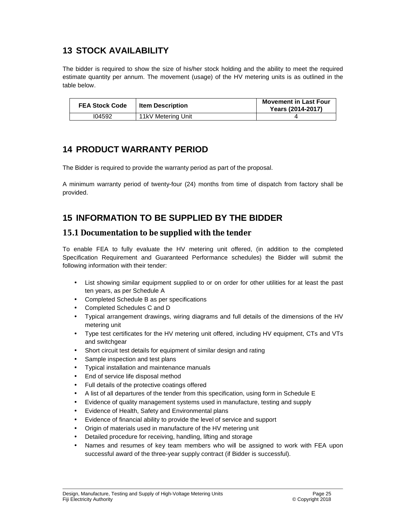## **13 STOCK AVAILABILITY**

The bidder is required to show the size of his/her stock holding and the ability to meet the required estimate quantity per annum. The movement (usage) of the HV metering units is as outlined in the table below.

| <b>FEA Stock Code</b> | <b>Item Description</b> | <b>Movement in Last Four</b><br>Years (2014-2017) |
|-----------------------|-------------------------|---------------------------------------------------|
| 104592                | 11kV Metering Unit      |                                                   |

## **14 PRODUCT WARRANTY PERIOD**

The Bidder is required to provide the warranty period as part of the proposal.

A minimum warranty period of twenty-four (24) months from time of dispatch from factory shall be provided.

## **15 INFORMATION TO BE SUPPLIED BY THE BIDDER**

### **15.1 Documentation to be supplied with the tender**

To enable FEA to fully evaluate the HV metering unit offered, (in addition to the completed Specification Requirement and Guaranteed Performance schedules) the Bidder will submit the following information with their tender:

- List showing similar equipment supplied to or on order for other utilities for at least the past ten years, as per Schedule A
- Completed Schedule B as per specifications
- Completed Schedules C and D
- Typical arrangement drawings, wiring diagrams and full details of the dimensions of the HV metering unit
- Type test certificates for the HV metering unit offered, including HV equipment, CTs and VTs and switchgear
- Short circuit test details for equipment of similar design and rating
- Sample inspection and test plans
- Typical installation and maintenance manuals
- End of service life disposal method
- Full details of the protective coatings offered
- A list of all departures of the tender from this specification, using form in Schedule E
- Evidence of quality management systems used in manufacture, testing and supply
- Evidence of Health, Safety and Environmental plans
- Evidence of financial ability to provide the level of service and support
- Origin of materials used in manufacture of the HV metering unit
- Detailed procedure for receiving, handling, lifting and storage
- Names and resumes of key team members who will be assigned to work with FEA upon successful award of the three-year supply contract (if Bidder is successful).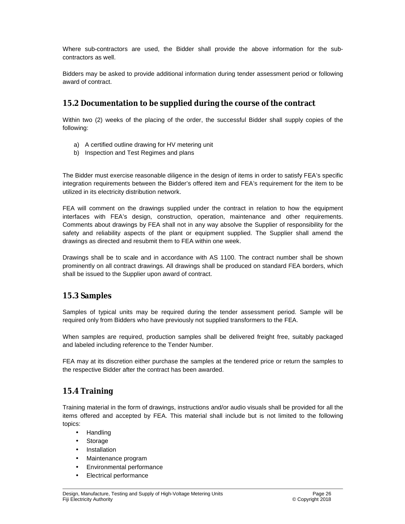Where sub-contractors are used, the Bidder shall provide the above information for the subcontractors as well.

Bidders may be asked to provide additional information during tender assessment period or following award of contract.

### **15.2 Documentation to be supplied during the course of the contract**

Within two (2) weeks of the placing of the order, the successful Bidder shall supply copies of the following:

- a) A certified outline drawing for HV metering unit
- b) Inspection and Test Regimes and plans

The Bidder must exercise reasonable diligence in the design of items in order to satisfy FEA's specific integration requirements between the Bidder's offered item and FEA's requirement for the item to be utilized in its electricity distribution network.

FEA will comment on the drawings supplied under the contract in relation to how the equipment interfaces with FEA's design, construction, operation, maintenance and other requirements. Comments about drawings by FEA shall not in any way absolve the Supplier of responsibility for the safety and reliability aspects of the plant or equipment supplied. The Supplier shall amend the drawings as directed and resubmit them to FEA within one week.

Drawings shall be to scale and in accordance with AS 1100. The contract number shall be shown prominently on all contract drawings. All drawings shall be produced on standard FEA borders, which shall be issued to the Supplier upon award of contract.

### **15.3 Samples**

Samples of typical units may be required during the tender assessment period. Sample will be required only from Bidders who have previously not supplied transformers to the FEA.

When samples are required, production samples shall be delivered freight free, suitably packaged and labeled including reference to the Tender Number.

FEA may at its discretion either purchase the samples at the tendered price or return the samples to the respective Bidder after the contract has been awarded.

### **15.4 Training**

Training material in the form of drawings, instructions and/or audio visuals shall be provided for all the items offered and accepted by FEA. This material shall include but is not limited to the following topics:

- Handling
- Storage
- **Installation**
- Maintenance program
- Environmental performance
- Electrical performance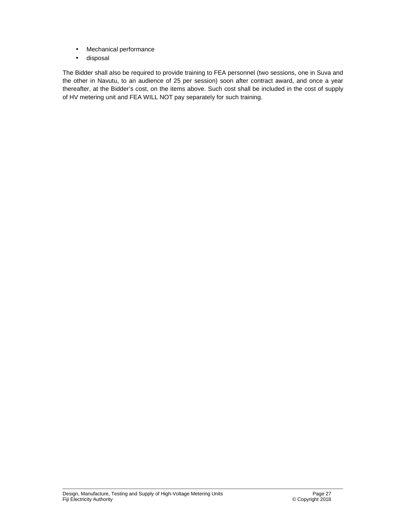- Mechanical performance
- disposal

The Bidder shall also be required to provide training to FEA personnel (two sessions, one in Suva and the other in Navutu, to an audience of 25 per session) soon after contract award, and once a year thereafter, at the Bidder's cost, on the items above. Such cost shall be included in the cost of supply of HV metering unit and FEA WILL NOT pay separately for such training.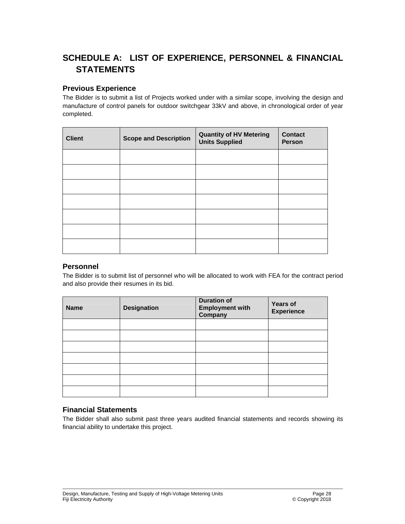## **SCHEDULE A: LIST OF EXPERIENCE, PERSONNEL & FINANCIAL STATEMENTS**

#### **Previous Experience**

The Bidder is to submit a list of Projects worked under with a similar scope, involving the design and manufacture of control panels for outdoor switchgear 33kV and above, in chronological order of year completed.

| <b>Client</b> | <b>Scope and Description</b> | <b>Quantity of HV Metering</b><br><b>Units Supplied</b> | <b>Contact</b><br><b>Person</b> |
|---------------|------------------------------|---------------------------------------------------------|---------------------------------|
|               |                              |                                                         |                                 |
|               |                              |                                                         |                                 |
|               |                              |                                                         |                                 |
|               |                              |                                                         |                                 |
|               |                              |                                                         |                                 |
|               |                              |                                                         |                                 |
|               |                              |                                                         |                                 |

#### **Personnel**

The Bidder is to submit list of personnel who will be allocated to work with FEA for the contract period and also provide their resumes in its bid.

| <b>Name</b> | <b>Designation</b> | <b>Duration of</b><br><b>Employment with</b><br>Company | <b>Years of</b><br><b>Experience</b> |
|-------------|--------------------|---------------------------------------------------------|--------------------------------------|
|             |                    |                                                         |                                      |
|             |                    |                                                         |                                      |
|             |                    |                                                         |                                      |
|             |                    |                                                         |                                      |
|             |                    |                                                         |                                      |
|             |                    |                                                         |                                      |
|             |                    |                                                         |                                      |

#### **Financial Statements**

The Bidder shall also submit past three years audited financial statements and records showing its financial ability to undertake this project.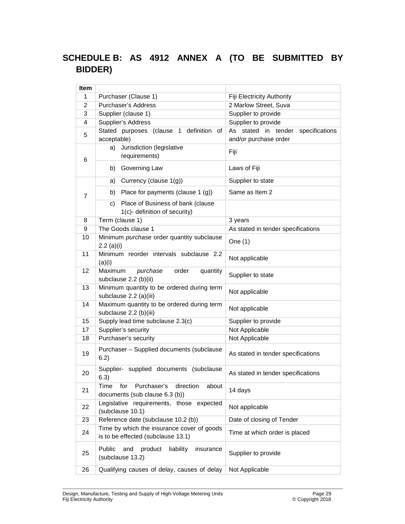## **SCHEDULE B: AS 4912 ANNEX A (TO BE SUBMITTED BY BIDDER)**

| <b>Item</b>             |                                                                                    |                                       |
|-------------------------|------------------------------------------------------------------------------------|---------------------------------------|
| 1                       | Purchaser (Clause 1)                                                               | Fiji Electricity Authority            |
| 2                       | Purchaser's Address                                                                | 2 Marlow Street, Suva                 |
| 3                       | Supplier (clause 1)                                                                | Supplier to provide                   |
| $\overline{\mathbf{4}}$ | Supplier's Address                                                                 | Supplier to provide                   |
|                         | Stated purposes (clause 1 definition of                                            | As stated in tender<br>specifications |
| 5                       | acceptable)                                                                        | and/or purchase order                 |
| 6                       | Jurisdiction (legislative<br>a)<br>requirements)                                   | Fiji                                  |
|                         | Governing Law<br>b)                                                                | Laws of Fiji                          |
|                         | Currency (clause 1(g))<br>a)                                                       | Supplier to state                     |
| 7                       | Place for payments (clause 1 (g))<br>b)                                            | Same as Item 2                        |
|                         | Place of Business of bank (clause<br>C)<br>1(c)- definition of security)           |                                       |
| 8                       | Term (clause 1)                                                                    | 3 years                               |
| 9                       | The Goods clause 1                                                                 | As stated in tender specifications    |
| 10                      | Minimum purchase order quantity subclause<br>$2.2$ (a)(i)                          | One (1)                               |
| 11                      | Minimum reorder intervals subclause 2.2<br>(a)(i)                                  | Not applicable                        |
| 12                      | Maximum<br>purchase<br>order<br>quantity<br>subclause 2.2 (b)(ii)                  | Supplier to state                     |
| 13                      | Minimum quantity to be ordered during term<br>subclause 2.2 (a)(iii)               | Not applicable                        |
| 14                      | Maximum quantity to be ordered during term<br>subclause 2.2 (b)(iii)               | Not applicable                        |
| 15                      | Supply lead time subclause 2.3(c)                                                  | Supplier to provide                   |
| 17                      | Supplier's security                                                                | Not Applicable                        |
| 18                      | Purchaser's security                                                               | Not Applicable                        |
| 19                      | Purchaser - Supplied documents (subclause<br>6.2)                                  | As stated in tender specifications    |
| 20                      | Supplier- supplied documents<br>(subclause<br>6.3)                                 | As stated in tender specifications    |
| 21                      | Purchaser's<br>direction<br>Time<br>for<br>about<br>documents (sub clause 6.3 (b)) | 14 days                               |
| 22                      | Legislative requirements, those expected<br>(subclause 10.1)                       | Not applicable                        |
| 23                      | Reference date (subclause 10.2 (b))                                                | Date of closing of Tender             |
| 24                      | Time by which the insurance cover of goods<br>is to be effected (subclause 13.1)   | Time at which order is placed         |
| 25                      | Public<br>and<br>product<br>liability<br>insurance<br>(subclause 13.2)             | Supplier to provide                   |
| 26                      | Qualifying causes of delay, causes of delay                                        | Not Applicable                        |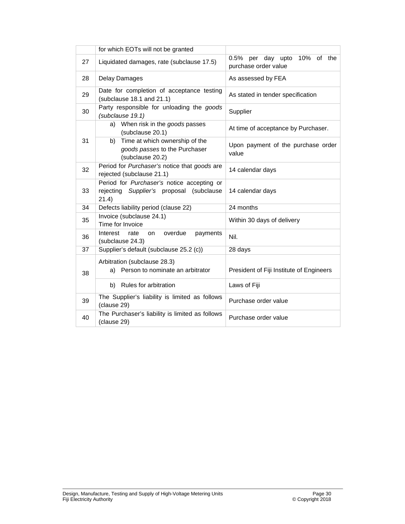|    | for which EOTs will not be granted                                                              |                                                         |
|----|-------------------------------------------------------------------------------------------------|---------------------------------------------------------|
| 27 | Liquidated damages, rate (subclause 17.5)                                                       | 0.5% per day upto<br>10% of the<br>purchase order value |
| 28 | Delay Damages                                                                                   | As assessed by FEA                                      |
| 29 | Date for completion of acceptance testing<br>(subclause 18.1 and 21.1)                          | As stated in tender specification                       |
| 30 | Party responsible for unloading the goods<br>(subclause 19.1)                                   | Supplier                                                |
|    | When risk in the goods passes<br>a)<br>(subclause 20.1)                                         | At time of acceptance by Purchaser.                     |
| 31 | Time at which ownership of the<br>b)<br>goods passes to the Purchaser<br>(subclause 20.2)       | Upon payment of the purchase order<br>value             |
| 32 | Period for Purchaser's notice that goods are<br>rejected (subclause 21.1)                       | 14 calendar days                                        |
| 33 | Period for Purchaser's notice accepting or<br>rejecting Supplier's proposal (subclause<br>21.4) | 14 calendar days                                        |
| 34 | Defects liability period (clause 22)                                                            | 24 months                                               |
| 35 | Invoice (subclause 24.1)<br>Time for Invoice                                                    | Within 30 days of delivery                              |
| 36 | Interest<br>rate<br>overdue<br>payments<br>on<br>(subclause 24.3)                               | Nil.                                                    |
| 37 | Supplier's default (subclause 25.2 (c))                                                         | 28 days                                                 |
| 38 | Arbitration (subclause 28.3)<br>Person to nominate an arbitrator<br>a)                          | President of Fiji Institute of Engineers                |
|    | b) Rules for arbitration                                                                        | Laws of Fiji                                            |
| 39 | The Supplier's liability is limited as follows<br>(clause 29)                                   | Purchase order value                                    |
| 40 | The Purchaser's liability is limited as follows<br>(clause 29)                                  | Purchase order value                                    |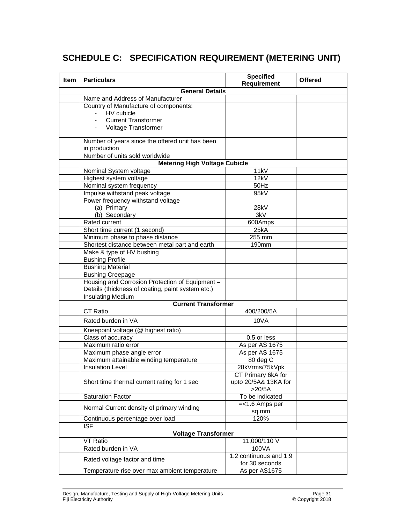## **SCHEDULE C: SPECIFICATION REQUIREMENT (METERING UNIT)**

| Item | <b>Particulars</b>                                | <b>Specified</b><br><b>Offered</b><br>Requirement |  |  |  |
|------|---------------------------------------------------|---------------------------------------------------|--|--|--|
|      | <b>General Details</b>                            |                                                   |  |  |  |
|      | Name and Address of Manufacturer                  |                                                   |  |  |  |
|      | Country of Manufacture of components:             |                                                   |  |  |  |
|      | HV cubicle<br>$\blacksquare$                      |                                                   |  |  |  |
|      | <b>Current Transformer</b>                        |                                                   |  |  |  |
|      | Voltage Transformer                               |                                                   |  |  |  |
|      |                                                   |                                                   |  |  |  |
|      | Number of years since the offered unit has been   |                                                   |  |  |  |
|      | in production                                     |                                                   |  |  |  |
|      | Number of units sold worldwide                    |                                                   |  |  |  |
|      | <b>Metering High Voltage Cubicle</b>              |                                                   |  |  |  |
|      | Nominal System voltage                            | 11kV                                              |  |  |  |
|      | Highest system voltage                            | 12kV                                              |  |  |  |
|      | Nominal system frequency                          | 50Hz                                              |  |  |  |
|      | Impulse withstand peak voltage                    | 95kV                                              |  |  |  |
|      | Power frequency withstand voltage                 |                                                   |  |  |  |
|      | (a) Primary                                       | 28kV                                              |  |  |  |
|      | (b) Secondary                                     | 3kV                                               |  |  |  |
|      | Rated current                                     | 600Amps                                           |  |  |  |
|      | Short time current (1 second)                     | 25kA                                              |  |  |  |
|      | Minimum phase to phase distance                   | 255 mm                                            |  |  |  |
|      | Shortest distance between metal part and earth    | 190mm                                             |  |  |  |
|      | Make & type of HV bushing                         |                                                   |  |  |  |
|      | <b>Bushing Profile</b>                            |                                                   |  |  |  |
|      | <b>Bushing Material</b>                           |                                                   |  |  |  |
|      | <b>Bushing Creepage</b>                           |                                                   |  |  |  |
|      | Housing and Corrosion Protection of Equipment -   |                                                   |  |  |  |
|      | Details (thickness of coating, paint system etc.) |                                                   |  |  |  |
|      | <b>Insulating Medium</b>                          |                                                   |  |  |  |
|      | <b>Current Transformer</b>                        |                                                   |  |  |  |
|      | CT Ratio                                          | 400/200/5A                                        |  |  |  |
|      | Rated burden in VA                                | 10VA                                              |  |  |  |
|      |                                                   |                                                   |  |  |  |
|      | Kneepoint voltage (@ highest ratio)               |                                                   |  |  |  |
|      | Class of accuracy                                 | 0.5 or less                                       |  |  |  |
|      | Maximum ratio error                               | As per AS 1675                                    |  |  |  |
|      | Maximum phase angle error                         | As per AS 1675                                    |  |  |  |
|      | Maximum attainable winding temperature            | 80 deg C                                          |  |  |  |
|      | <b>Insulation Level</b>                           | 28kVrms/75kVpk                                    |  |  |  |
|      |                                                   | CT Primary 6kA for                                |  |  |  |
|      | Short time thermal current rating for 1 sec       | upto 20/5A& 13KA for                              |  |  |  |
|      |                                                   | $>20/5A$                                          |  |  |  |
|      | <b>Saturation Factor</b>                          | To be indicated                                   |  |  |  |
|      | Normal Current density of primary winding         | $=<1.6$ Amps per                                  |  |  |  |
|      |                                                   | sq.mm                                             |  |  |  |
|      | Continuous percentage over load                   | 120%                                              |  |  |  |
|      | <b>ISF</b>                                        |                                                   |  |  |  |
|      | <b>Voltage Transformer</b>                        |                                                   |  |  |  |
|      | <b>VT Ratio</b>                                   | 11,000/110 V                                      |  |  |  |
|      | Rated burden in VA                                | 100VA                                             |  |  |  |
|      |                                                   | 1.2 continuous and 1.9                            |  |  |  |
|      | Rated voltage factor and time                     | for 30 seconds                                    |  |  |  |
|      | Temperature rise over max ambient temperature     | As per AS1675                                     |  |  |  |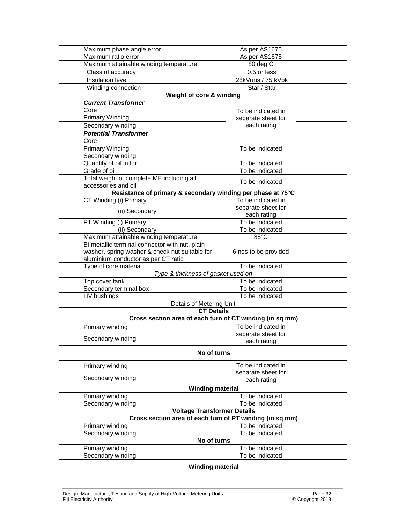|                          | Maximum phase angle error                                   | As per AS1675        |  |  |
|--------------------------|-------------------------------------------------------------|----------------------|--|--|
|                          | Maximum ratio error<br>As per AS1675                        |                      |  |  |
|                          | Maximum attainable winding temperature                      | 80 deg C             |  |  |
|                          | Class of accuracy                                           | 0.5 or less          |  |  |
|                          | Insulation level                                            | 28kVrms / 75 kVpk    |  |  |
|                          | Winding connection                                          | Star / Star          |  |  |
|                          | Weight of core & winding                                    |                      |  |  |
|                          | <b>Current Transformer</b>                                  |                      |  |  |
|                          | Core                                                        | To be indicated in   |  |  |
|                          | <b>Primary Winding</b>                                      | separate sheet for   |  |  |
|                          | Secondary winding                                           | each rating          |  |  |
|                          | <b>Potential Transformer</b>                                |                      |  |  |
|                          | Core                                                        |                      |  |  |
|                          | <b>Primary Winding</b>                                      | To be indicated      |  |  |
|                          | Secondary winding                                           |                      |  |  |
|                          | Quantity of oil in Ltr                                      | To be indicated      |  |  |
|                          | Grade of oil                                                | To be indicated      |  |  |
|                          | Total weight of complete ME including all                   |                      |  |  |
|                          | accessories and oil                                         | To be indicated      |  |  |
|                          | Resistance of primary & secondary winding per phase at 75°C |                      |  |  |
|                          | CT Winding (i) Primary                                      | To be indicated in   |  |  |
|                          |                                                             | separate sheet for   |  |  |
|                          | (ii) Secondary                                              | each rating          |  |  |
|                          | PT Winding (i) Primary                                      | To be indicated      |  |  |
|                          | (ii) Secondary                                              | To be indicated      |  |  |
|                          | Maximum attainable winding temperature                      | $85^{\circ}$ C       |  |  |
|                          | Bi-metallic terminal connector with nut, plain              |                      |  |  |
|                          | washer, spring washer & check nut suitable for              | 6 nos to be provided |  |  |
|                          | aluminium conductor as per CT ratio                         |                      |  |  |
|                          | Type of core material<br>To be indicated                    |                      |  |  |
|                          | Type & thickness of gasket used on<br>To be indicated       |                      |  |  |
|                          | Top cover tank<br>Secondary terminal box<br>To be indicated |                      |  |  |
|                          | HV bushings                                                 | To be indicated      |  |  |
| Details of Metering Unit |                                                             |                      |  |  |
|                          | <b>CT Details</b>                                           |                      |  |  |
|                          | Cross section area of each turn of CT winding (in sq mm)    |                      |  |  |
|                          | Primary winding                                             | To be indicated in   |  |  |
|                          |                                                             | separate sheet for   |  |  |
|                          | Secondary winding                                           | each rating          |  |  |
|                          |                                                             |                      |  |  |
|                          | No of turns                                                 |                      |  |  |
|                          | Primary winding                                             | To be indicated in   |  |  |
|                          |                                                             | separate sheet for   |  |  |
|                          | Secondary winding                                           | each rating          |  |  |
|                          | <b>Winding material</b>                                     |                      |  |  |
|                          | Primary winding                                             | To be indicated      |  |  |
|                          | Secondary winding                                           | To be indicated      |  |  |
|                          | <b>Voltage Transformer Details</b>                          |                      |  |  |
|                          | Cross section area of each turn of PT winding (in sq mm)    |                      |  |  |
|                          | Primary winding<br>To be indicated                          |                      |  |  |
|                          | Secondary winding                                           | To be indicated      |  |  |
|                          | No of turns                                                 |                      |  |  |
|                          | Primary winding                                             | To be indicated      |  |  |
|                          | Secondary winding                                           | To be indicated      |  |  |
|                          | <b>Winding material</b>                                     |                      |  |  |
|                          |                                                             |                      |  |  |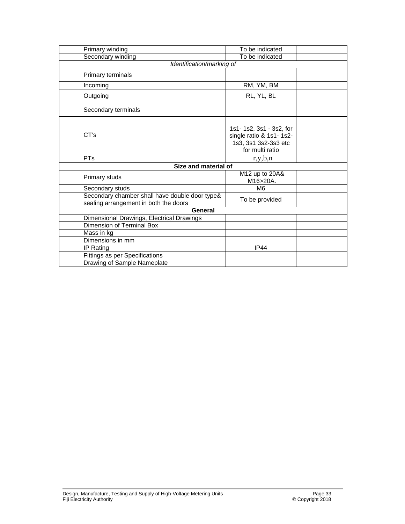|                           | Primary winding                                                                         | To be indicated                                                                               |  |  |
|---------------------------|-----------------------------------------------------------------------------------------|-----------------------------------------------------------------------------------------------|--|--|
|                           | Secondary winding                                                                       | To be indicated                                                                               |  |  |
| Identification/marking of |                                                                                         |                                                                                               |  |  |
|                           | Primary terminals                                                                       |                                                                                               |  |  |
|                           | Incoming                                                                                | RM, YM, BM                                                                                    |  |  |
|                           | Outgoing                                                                                | RL, YL, BL                                                                                    |  |  |
|                           | Secondary terminals                                                                     |                                                                                               |  |  |
|                           | CT's                                                                                    | 1s1-1s2, 3s1 - 3s2, for<br>single ratio & 1s1-1s2-<br>1s3, 3s1 3s2-3s3 etc<br>for multi ratio |  |  |
|                           | <b>PT<sub>S</sub></b>                                                                   | r, y, b, n                                                                                    |  |  |
| Size and material of      |                                                                                         |                                                                                               |  |  |
|                           | Primary studs                                                                           | M12 up to 20A&<br>M16>20A.                                                                    |  |  |
|                           | Secondary studs                                                                         | M <sub>6</sub>                                                                                |  |  |
|                           | Secondary chamber shall have double door type&<br>sealing arrangement in both the doors | To be provided                                                                                |  |  |
| General                   |                                                                                         |                                                                                               |  |  |
|                           | Dimensional Drawings, Electrical Drawings                                               |                                                                                               |  |  |
|                           | Dimension of Terminal Box                                                               |                                                                                               |  |  |
|                           | Mass in kg                                                                              |                                                                                               |  |  |
|                           | Dimensions in mm                                                                        |                                                                                               |  |  |
|                           | IP Rating                                                                               | <b>IP44</b>                                                                                   |  |  |
|                           | Fittings as per Specifications                                                          |                                                                                               |  |  |
|                           | Drawing of Sample Nameplate                                                             |                                                                                               |  |  |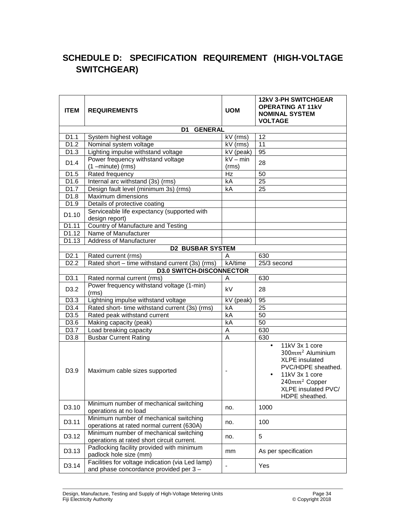## **SCHEDULE D: SPECIFICATION REQUIREMENT (HIGH-VOLTAGE SWITCHGEAR)**

| <b>ITEM</b>       | <b>REQUIREMENTS</b>                                                                       | <b>UOM</b>               | <b>12kV 3-PH SWITCHGEAR</b><br><b>OPERATING AT 11KV</b><br><b>NOMINAL SYSTEM</b><br><b>VOLTAGE</b>                                                                                              |
|-------------------|-------------------------------------------------------------------------------------------|--------------------------|-------------------------------------------------------------------------------------------------------------------------------------------------------------------------------------------------|
|                   | <b>GENERAL</b><br>D1 I                                                                    |                          |                                                                                                                                                                                                 |
| D <sub>1.1</sub>  | System highest voltage                                                                    | kV (rms)                 | 12                                                                                                                                                                                              |
| D <sub>1.2</sub>  | Nominal system voltage                                                                    | kV (rms)                 | 11                                                                                                                                                                                              |
| D <sub>1.3</sub>  | Lighting impulse withstand voltage                                                        | kV (peak)                | 95                                                                                                                                                                                              |
| D1.4              | Power frequency withstand voltage<br>$(1 - minute)$ (rms)                                 | $kV - min$<br>(rms)      | 28                                                                                                                                                                                              |
| D1.5              | Rated frequency                                                                           | Hz                       | 50                                                                                                                                                                                              |
| D1.6              | Internal arc withstand (3s) (rms)                                                         | kA                       | $\overline{25}$                                                                                                                                                                                 |
| D1.7              | Design fault level (minimum 3s) (rms)                                                     | kA                       | 25                                                                                                                                                                                              |
| D1.8              | Maximum dimensions                                                                        |                          |                                                                                                                                                                                                 |
| D1.9              | Details of protective coating                                                             |                          |                                                                                                                                                                                                 |
| D <sub>1.10</sub> | Serviceable life expectancy (supported with<br>design report)                             |                          |                                                                                                                                                                                                 |
| D1.11             | Country of Manufacture and Testing                                                        |                          |                                                                                                                                                                                                 |
| D1.12             | Name of Manufacturer                                                                      |                          |                                                                                                                                                                                                 |
| D1.13             | <b>Address of Manufacturer</b>                                                            |                          |                                                                                                                                                                                                 |
|                   | <b>D2 BUSBAR SYSTEM</b>                                                                   |                          |                                                                                                                                                                                                 |
| D <sub>2.1</sub>  | Rated current (rms)                                                                       | A                        | 630                                                                                                                                                                                             |
| D <sub>2.2</sub>  | Rated short - time withstand current (3s) (rms)                                           | kA/time                  | 25/3 second                                                                                                                                                                                     |
|                   | <b>D3.0 SWITCH-DISCONNECTOR</b>                                                           |                          |                                                                                                                                                                                                 |
| D3.1              | Rated normal current (rms)                                                                | A                        | 630                                                                                                                                                                                             |
| D <sub>3.2</sub>  | Power frequency withstand voltage (1-min)<br>(rms)                                        | kV                       | 28                                                                                                                                                                                              |
| D <sub>3.3</sub>  | Lightning impulse withstand voltage                                                       | kV<br>(peak)             | 95                                                                                                                                                                                              |
| D3.4              | Rated short- time withstand current (3s) (rms)                                            | kA                       | 25                                                                                                                                                                                              |
| D3.5              | Rated peak withstand current                                                              | kA                       | 50                                                                                                                                                                                              |
| D3.6              | Making capacity (peak)                                                                    | kA                       | 50                                                                                                                                                                                              |
| D3.7              | Load breaking capacity                                                                    | Α                        | 630                                                                                                                                                                                             |
| D3.8              | <b>Busbar Current Rating</b>                                                              | A                        | 630                                                                                                                                                                                             |
| D <sub>3.9</sub>  | Maximum cable sizes supported                                                             | $\overline{\phantom{a}}$ | 11kV 3x 1 core<br>$\bullet$<br>$300mm2$ Aluminium<br><b>XLPE</b> insulated<br>PVC/HDPE sheathed.<br>11kV 3x 1 core<br>240mm <sup>2</sup> Copper<br><b>XLPE insulated PVC/</b><br>HDPE sheathed. |
| D3.10             | Minimum number of mechanical switching<br>operations at no load                           | no.                      | 1000                                                                                                                                                                                            |
| D3.11             | Minimum number of mechanical switching<br>operations at rated normal current (630A)       | no.                      | 100                                                                                                                                                                                             |
| D3.12             | Minimum number of mechanical switching<br>operations at rated short circuit current.      | no.                      | 5                                                                                                                                                                                               |
| D3.13             | Padlocking facility provided with minimum<br>padlock hole size (mm)                       | mm                       | As per specification                                                                                                                                                                            |
| D3.14             | Facilities for voltage indication (via Led lamp)<br>and phase concordance provided per 3- |                          | Yes                                                                                                                                                                                             |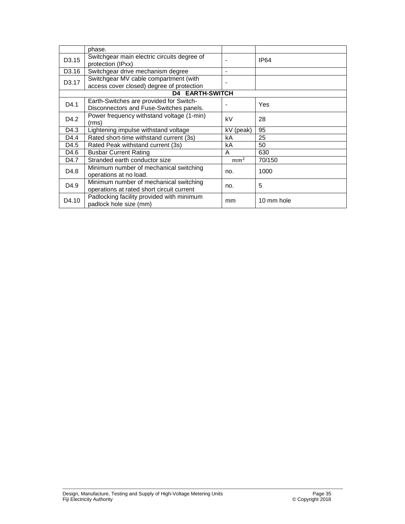|                        | phase.                                                                              |                          |            |
|------------------------|-------------------------------------------------------------------------------------|--------------------------|------------|
| D <sub>3</sub> .15     | Switchgear main electric circuits degree of<br>protection (IPxx)                    |                          | IP64       |
| D <sub>3.16</sub>      | Switchgear drive mechanism degree                                                   | ٠                        |            |
| D3.17                  | Switchgear MV cable compartment (with                                               | $\overline{\phantom{0}}$ |            |
|                        | access cover closed) degree of protection                                           |                          |            |
| <b>D4 EARTH-SWITCH</b> |                                                                                     |                          |            |
| D4.1                   | Earth-Switches are provided for Switch-<br>Disconnectors and Fuse-Switches panels.  |                          | Yes        |
| D4.2                   | Power frequency withstand voltage (1-min)<br>(rms)                                  | kV                       | 28         |
| D4.3                   | Lightening impulse withstand voltage                                                | kV (peak)                | 95         |
| D4.4                   | Rated short-time withstand current (3s)                                             | kA                       | 25         |
| D4.5                   | Rated Peak withstand current (3s)                                                   | kA                       | 50         |
| D4.6                   | <b>Busbar Current Rating</b>                                                        | A                        | 630        |
| D4.7                   | Stranded earth conductor size                                                       | mm <sup>2</sup>          | 70/150     |
| D4.8                   | Minimum number of mechanical switching<br>operations at no load.                    | no.                      | 1000       |
| D <sub>4.9</sub>       | Minimum number of mechanical switching<br>operations at rated short circuit current | no.                      | 5          |
| D4.10                  | Padlocking facility provided with minimum<br>padlock hole size (mm)                 | mm                       | 10 mm hole |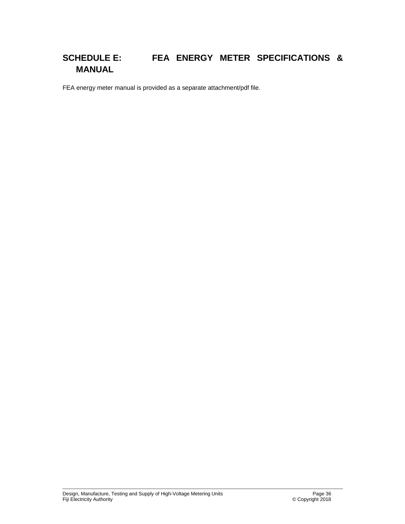## **SCHEDULE E: FEA ENERGY METER SPECIFICATIONS & MANUAL**

FEA energy meter manual is provided as a separate attachment/pdf file.

Design, Manufacture, Testing and Supply of High-Voltage Metering Units Page 36 Fiji Electricity Authority © Copyright 2018